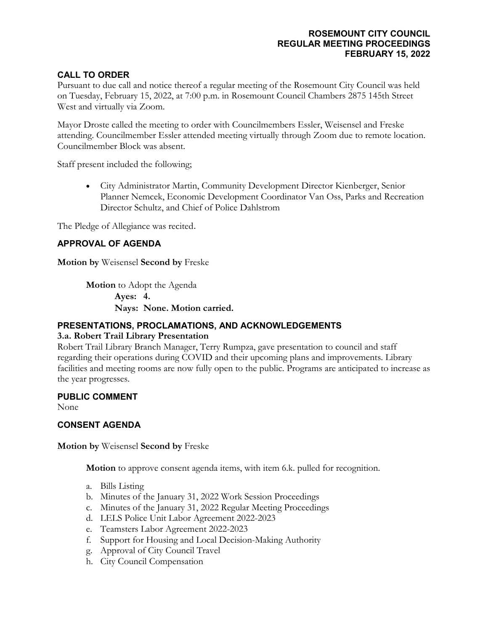# **CALL TO ORDER**

Pursuant to due call and notice thereof a regular meeting of the Rosemount City Council was held on Tuesday, February 15, 2022, at 7:00 p.m. in Rosemount Council Chambers 2875 145th Street West and virtually via Zoom.

Mayor Droste called the meeting to order with Councilmembers Essler, Weisensel and Freske attending. Councilmember Essler attended meeting virtually through Zoom due to remote location. Councilmember Block was absent.

Staff present included the following;

• City Administrator Martin, Community Development Director Kienberger, Senior Planner Nemcek, Economic Development Coordinator Van Oss, Parks and Recreation Director Schultz, and Chief of Police Dahlstrom

The Pledge of Allegiance was recited.

# **APPROVAL OF AGENDA**

**Motion by** Weisensel **Second by** Freske

**Motion** to Adopt the Agenda **Ayes: 4. Nays: None. Motion carried.**

## **PRESENTATIONS, PROCLAMATIONS, AND ACKNOWLEDGEMENTS**

#### **3.a. Robert Trail Library Presentation**

Robert Trail Library Branch Manager, Terry Rumpza, gave presentation to council and staff regarding their operations during COVID and their upcoming plans and improvements. Library facilities and meeting rooms are now fully open to the public. Programs are anticipated to increase as the year progresses.

#### **PUBLIC COMMENT**

None

## **CONSENT AGENDA**

**Motion by** Weisensel **Second by** Freske

**Motion** to approve consent agenda items, with item 6.k. pulled for recognition.

- a. Bills Listing
- b. Minutes of the January 31, 2022 Work Session Proceedings
- c. Minutes of the January 31, 2022 Regular Meeting Proceedings
- d. LELS Police Unit Labor Agreement 2022-2023
- e. Teamsters Labor Agreement 2022-2023
- f. Support for Housing and Local Decision-Making Authority
- g. Approval of City Council Travel
- h. City Council Compensation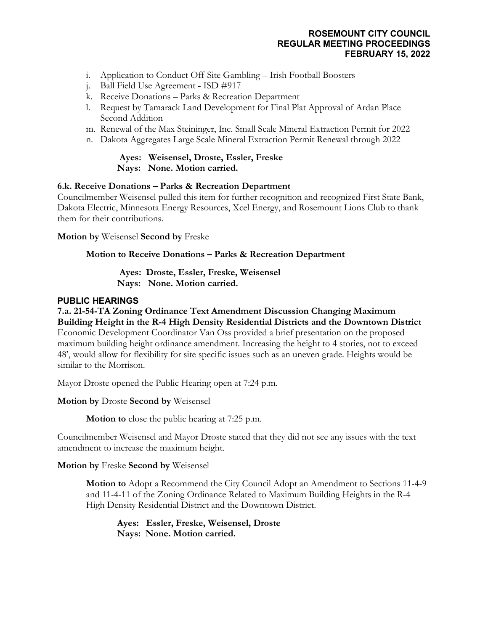- i. Application to Conduct Off-Site Gambling Irish Football Boosters
- j. Ball Field Use Agreement **-** ISD #917
- k. Receive Donations Parks & Recreation Department
- l. Request by Tamarack Land Development for Final Plat Approval of Ardan Place Second Addition
- m. Renewal of the Max Steininger, Inc. Small Scale Mineral Extraction Permit for 2022
- n. Dakota Aggregates Large Scale Mineral Extraction Permit Renewal through 2022

### **Ayes: Weisensel, Droste, Essler, Freske Nays: None. Motion carried.**

## **6.k. Receive Donations – Parks & Recreation Department**

Councilmember Weisensel pulled this item for further recognition and recognized First State Bank, Dakota Electric, Minnesota Energy Resources, Xcel Energy, and Rosemount Lions Club to thank them for their contributions.

**Motion by** Weisensel **Second by** Freske

## **Motion to Receive Donations – Parks & Recreation Department**

**Ayes: Droste, Essler, Freske, Weisensel Nays: None. Motion carried.**

## **PUBLIC HEARINGS**

**7.a. 21-54-TA Zoning Ordinance Text Amendment Discussion Changing Maximum Building Height in the R-4 High Density Residential Districts and the Downtown District** Economic Development Coordinator Van Oss provided a brief presentation on the proposed maximum building height ordinance amendment. Increasing the height to 4 stories, not to exceed 48', would allow for flexibility for site specific issues such as an uneven grade. Heights would be similar to the Morrison.

Mayor Droste opened the Public Hearing open at 7:24 p.m.

**Motion by** Droste **Second by** Weisensel

**Motion to** close the public hearing at 7:25 p.m.

Councilmember Weisensel and Mayor Droste stated that they did not see any issues with the text amendment to increase the maximum height.

**Motion by** Freske **Second by** Weisensel

**Motion to** Adopt a Recommend the City Council Adopt an Amendment to Sections 11-4-9 and 11-4-11 of the Zoning Ordinance Related to Maximum Building Heights in the R-4 High Density Residential District and the Downtown District.

**Ayes: Essler, Freske, Weisensel, Droste Nays: None. Motion carried.**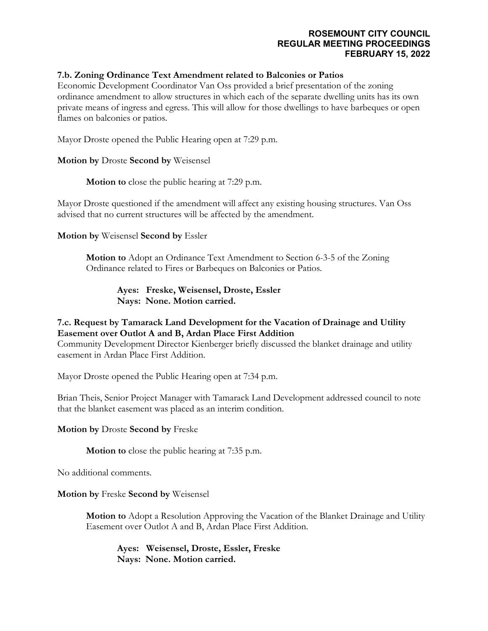### **7.b. Zoning Ordinance Text Amendment related to Balconies or Patios**

Economic Development Coordinator Van Oss provided a brief presentation of the zoning ordinance amendment to allow structures in which each of the separate dwelling units has its own private means of ingress and egress. This will allow for those dwellings to have barbeques or open flames on balconies or patios.

Mayor Droste opened the Public Hearing open at 7:29 p.m.

### **Motion by** Droste **Second by** Weisensel

**Motion to** close the public hearing at 7:29 p.m.

Mayor Droste questioned if the amendment will affect any existing housing structures. Van Oss advised that no current structures will be affected by the amendment.

**Motion by** Weisensel **Second by** Essler

**Motion to** Adopt an Ordinance Text Amendment to Section 6-3-5 of the Zoning Ordinance related to Fires or Barbeques on Balconies or Patios.

> **Ayes: Freske, Weisensel, Droste, Essler Nays: None. Motion carried.**

# **7.c. Request by Tamarack Land Development for the Vacation of Drainage and Utility Easement over Outlot A and B, Ardan Place First Addition**

Community Development Director Kienberger briefly discussed the blanket drainage and utility easement in Ardan Place First Addition.

Mayor Droste opened the Public Hearing open at 7:34 p.m.

Brian Theis, Senior Project Manager with Tamarack Land Development addressed council to note that the blanket easement was placed as an interim condition.

**Motion by** Droste **Second by** Freske

**Motion to** close the public hearing at 7:35 p.m.

No additional comments.

**Motion by** Freske **Second by** Weisensel

**Motion to** Adopt a Resolution Approving the Vacation of the Blanket Drainage and Utility Easement over Outlot A and B, Ardan Place First Addition.

**Ayes: Weisensel, Droste, Essler, Freske Nays: None. Motion carried.**